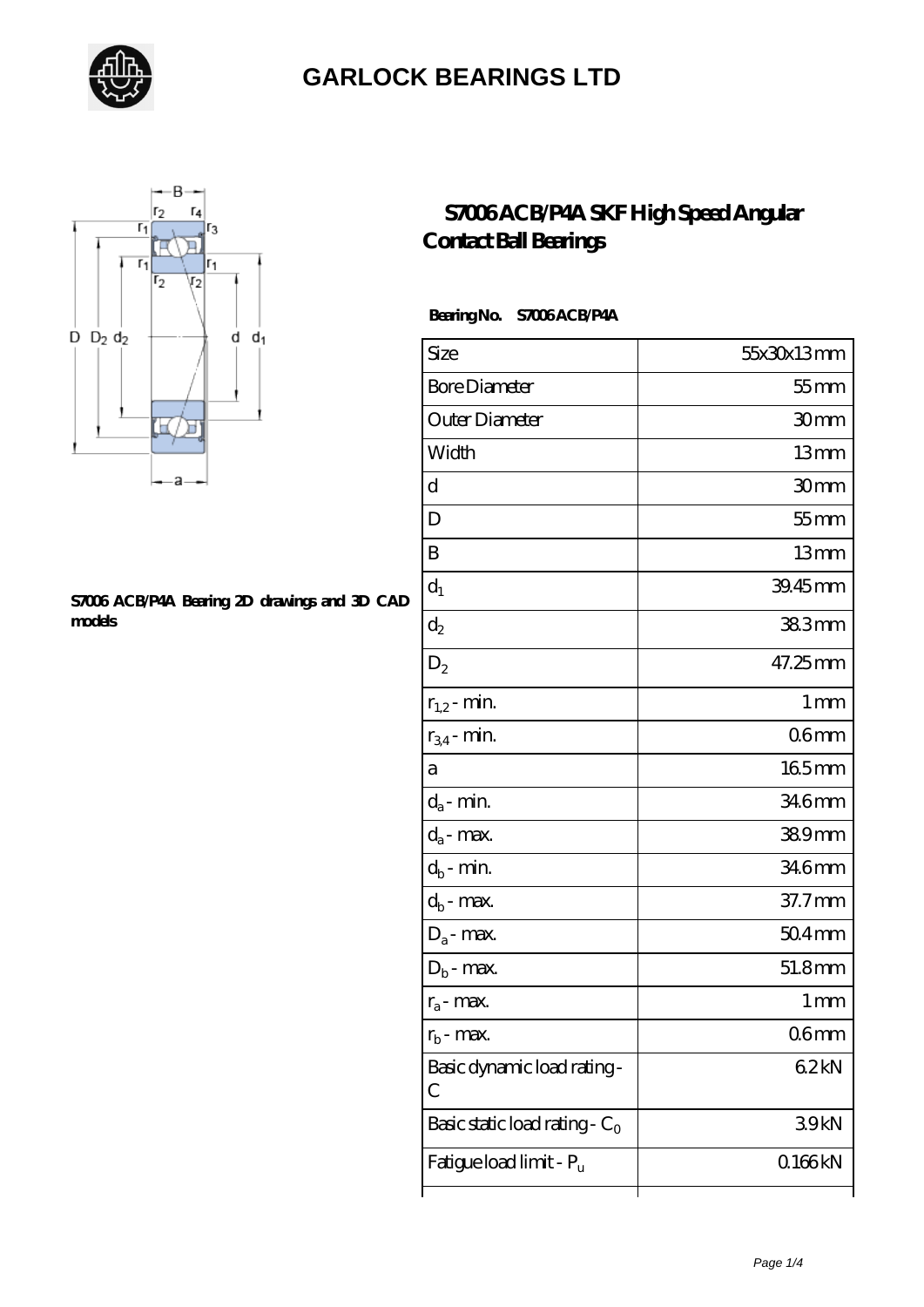



#### **[S7006 ACB/P4A Bearing 2D drawings and 3D CAD](https://letterstopriests.com/pic-935008.html) [models](https://letterstopriests.com/pic-935008.html)**

### **[S7006 ACB/P4A SKF High Speed Angular](https://letterstopriests.com/skf-bearing/s7006-acb-p4a.html) [Contact Ball Bearings](https://letterstopriests.com/skf-bearing/s7006-acb-p4a.html)**

#### **Bearing No. S7006 ACB/P4A**

| Size                             | 55x30x13mm       |
|----------------------------------|------------------|
| <b>Bore Diameter</b>             | $55$ mm          |
| Outer Diameter                   | 30mm             |
| Width                            | 13mm             |
| d                                | 30 <sub>mm</sub> |
| D                                | $55$ mm          |
| B                                | 13mm             |
| $d_1$                            | 39.45mm          |
| $\mathrm{d}_2$                   | 383mm            |
| $D_2$                            | 47.25mm          |
| $r_{1,2}$ - min.                 | 1 <sub>mm</sub>  |
| $r_{34}$ - min.                  | 06 <sub>mm</sub> |
| а                                | 165mm            |
| $d_a$ - min.                     | 346mm            |
| $d_a$ - max.                     | 389mm            |
| $d_b$ - min.                     | 346mm            |
| $d_b$ - max.                     | 37.7mm           |
| $D_a$ - max.                     | $504$ mm         |
| $D_b$ - max.                     | 51.8mm           |
| $r_a$ - max.                     | 1 mm             |
| $r_{\rm b}$ - max.               | 06 <sub>mm</sub> |
| Basic dynamic load rating-<br>С  | 62kN             |
| Basic static load rating - $C_0$ | 39kN             |
| Fatigue load limit - Pu          | Q166kN           |
|                                  |                  |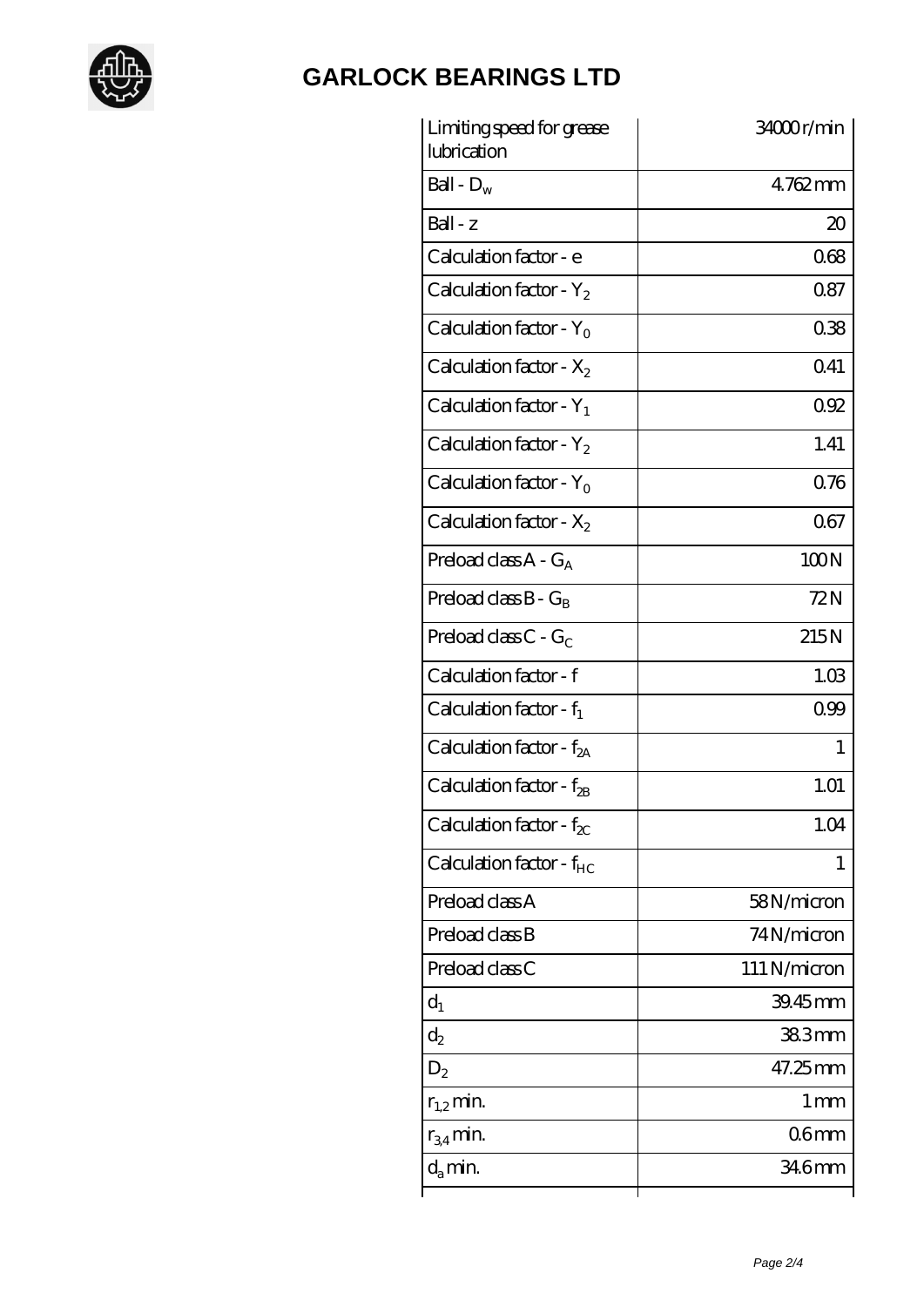

| Limiting speed for grease<br>lubrication | 34000r/min       |
|------------------------------------------|------------------|
| Ball - $D_w$                             | 4762mm           |
| $Ball - z$                               | $20\,$           |
| Calculation factor - e                   | 068              |
| Calculation factor - $Y_2$               | 087              |
| Calculation factor - Y <sub>0</sub>      | 038              |
| Calculation factor - $X_2$               | Q41              |
| Calculation factor - $Y_1$               | 092              |
| Calculation factor - $Y_2$               | 1.41             |
| Calculation factor - $Y_0$               | 076              |
| Calculation factor - $X_2$               | 067              |
| Preload class $A - G_A$                  | 100N             |
| Preload class $B - G_B$                  | 72N              |
| Preload class $C - G_C$                  | 215N             |
| Calculation factor - f                   | 1.03             |
| Calculation factor - $f_1$               | 0.99             |
| Calculation factor - $f_{2A}$            | 1                |
| Calculation factor - f <sub>2B</sub>     | 1.01             |
| Calculation factor - $f_{\chi}$          | 1.04             |
| Calculation factor - $f_{HC}$            | 1                |
| Preload class A                          | 58N/micron       |
| Preload class B                          | 74N/micron       |
| Preload class C                          | 111 N/micron     |
| $d_1$                                    | 39.45mm          |
| $d_2$                                    | 383mm            |
| $D_2$                                    | 47.25mm          |
| $r_{1,2}$ min.                           | 1 <sub>mm</sub>  |
| $r_{34}$ min.                            | 06 <sub>mm</sub> |
| $d_{a}$ min.                             | 34.6mm           |
|                                          |                  |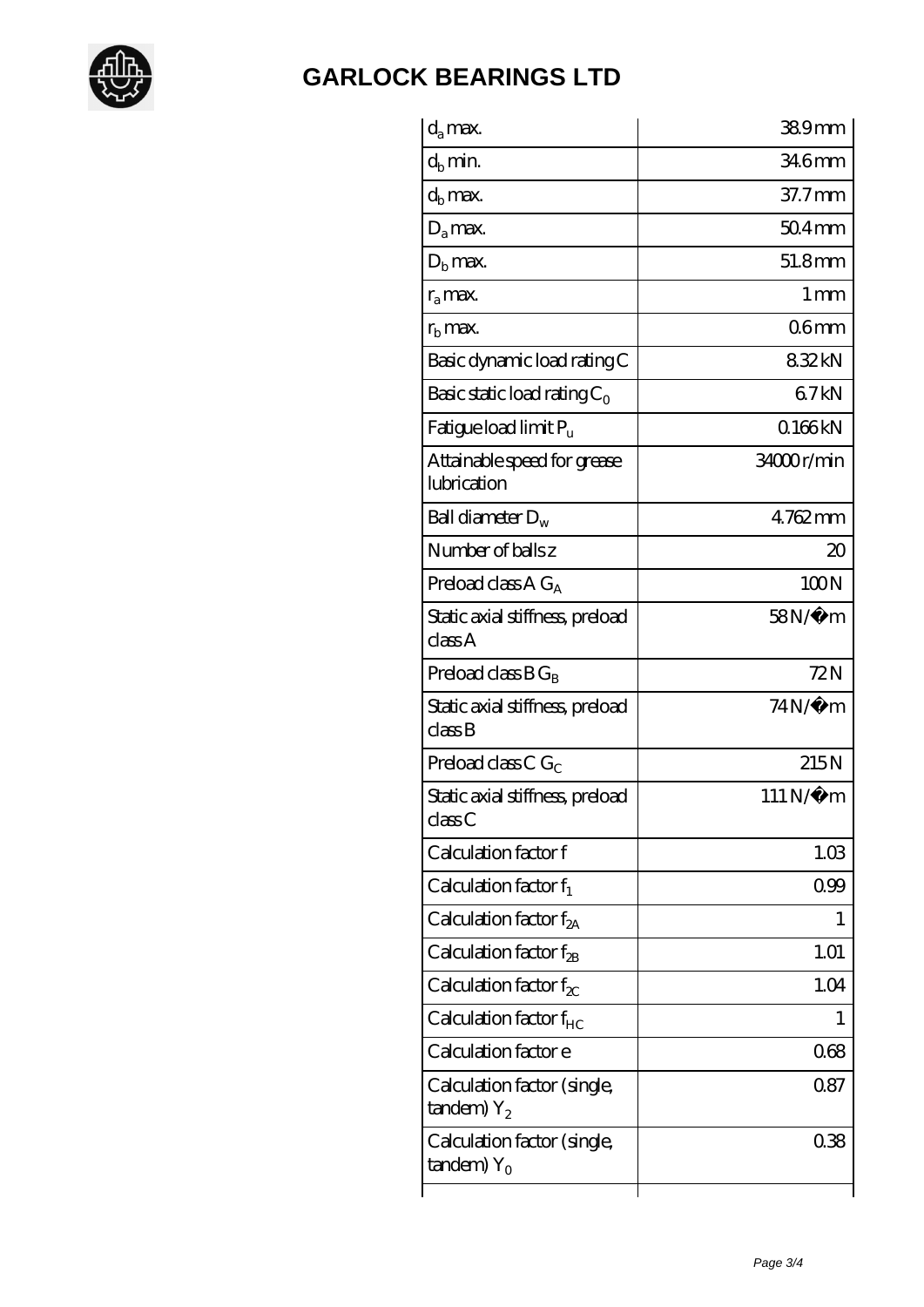

| $d_a$ max.                                               | 389mm               |
|----------------------------------------------------------|---------------------|
| $d_b$ min.                                               | 346mm               |
| $d_h$ max.                                               | 37.7mm              |
| $D_a$ max.                                               | $504$ <sub>mm</sub> |
| $Db$ max.                                                | 51.8mm              |
| $r_a$ max.                                               | 1 <sub>mm</sub>     |
| $r_{\rm b}$ max.                                         | 06 <sub>mm</sub>    |
| Basic dynamic load rating C                              | 832kN               |
| Basic static load rating $C_0$                           | 67kN                |
| Fatigue load limit $P_u$                                 | 0.166kN             |
| Attainable speed for grease<br>lubrication               | 34000r/min          |
| Ball diameter $D_w$                                      | 4762mm              |
| Number of balls z                                        | 20                  |
| Preload class $AG_A$                                     | 100N                |
| Static axial stiffness, preload<br>classA                | 58N/μ m             |
| Preload class $BG_R$                                     | 72N                 |
| Static axial stiffness, preload<br>classB                | $74N/\mu$ m         |
| Preload class C $G_C$                                    | 215N                |
| Static axial stiffness, preload<br>classC                | 111 N/μ m           |
| Calculation factor f                                     | 1.03                |
| Calculation factor $f_1$                                 | 099                 |
| C alculation factor $f_{2A}$                             | 1                   |
| Calculation factor $f_{\mathcal{B}}$                     | 1.01                |
| Calculation factor $f_{\chi}$                            | 1.04                |
| Calculation factor $f_{HC}$                              | 1                   |
| Calculation factor e                                     | 068                 |
| Calculation factor (single,<br>$t$ andem) $Y_2$          | 087                 |
| Calculation factor (single,<br>$t$ andem) Y <sub>o</sub> | 038                 |
|                                                          |                     |